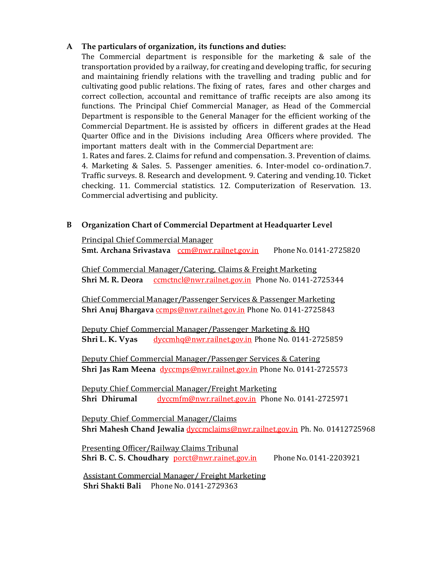## A The particulars of organization, its functions and duties:

The Commercial department is responsible for the marketing & sale of the transportation provided by a railway, for creating and developing traffic, for securing and maintaining friendly relations with the travelling and trading public and for cultivating good public relations. The fixing of rates, fares and other charges and correct collection, accountal and remittance of traffic receipts are also among its functions. The Principal Chief Commercial Manager, as Head of the Commercial Department is responsible to the General Manager for the efficient working of the Commercial Department. He is assisted by officers in different grades at the Head Quarter Office and in the Divisions including Area Officers where provided. The important matters dealt with in the Commercial Department are:

1. Rates and fares. 2. Claims for refund and compensation. 3. Prevention of claims. 4. Marketing & Sales. 5. Passenger amenities. 6. Inter-model co- ordination.7. Traffic surveys. 8. Research and development. 9. Catering and vending.10. Ticket checking. 11. Commercial statistics. 12. Computerization of Reservation. 13. Commercial advertising and publicity.

#### B Organization Chart of Commercial Department at Headquarter Level

Principal Chief Commercial Manager Smt. Archana Srivastava com@nwr.railnet.gov.in Phone No. 0141-2725820

Chief Commercial Manager/Catering, Claims & Freight Marketing Shri M. R. Deora ccmctncl@nwr.railnet.gov.in Phone No. 0141-2725344

 Chief Commercial Manager/Passenger Services & Passenger Marketing Shri Anuj Bhargava ccmps@nwr.railnet.gov.in Phone No. 0141-2725843

Deputy Chief Commercial Manager/Passenger Marketing & HQ Shri L. K. Vyas dyccmhq@nwr.railnet.gov.in Phone No. 0141-2725859

Deputy Chief Commercial Manager/Passenger Services & Catering Shri Jas Ram Meena dvccmps@nwr.railnet.gov.in Phone No. 0141-2725573

Deputy Chief Commercial Manager/Freight Marketing Shri Dhirumal dyccmfm@nwr.railnet.gov.in Phone No. 0141-2725971

Deputy Chief Commercial Manager/Claims Shri Mahesh Chand Jewalia dyccmclaims@nwr.railnet.gov.in Ph. No. 01412725968

Presenting Officer/Railway Claims Tribunal Shri B. C. S. Choudhary porct@nwr.rainet.gov.in Phone No. 0141-2203921

Assistant Commercial Manager/ Freight Marketing Shri Shakti Bali Phone No. 0141-2729363